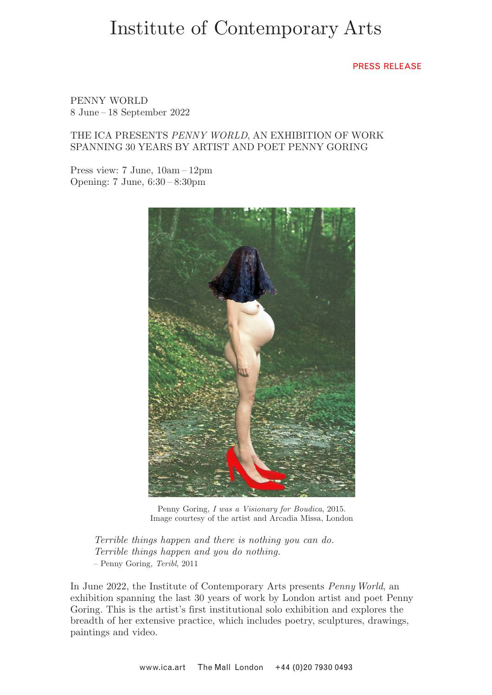# Institute of Contemporary Arts

## PRESS RELEASE

PENNY WORLD 8 June – 18 September 2022

# THE ICA PRESENTS *PENNY WORLD*, AN EXHIBITION OF WORK SPANNING 30 YEARS BY ARTIST AND POET PENNY GORING

Press view: 7 June, 10am – 12pm Opening: 7 June, 6:30 – 8:30pm



Penny Goring, *I was a Visionary for Boudica*, 2015. Image courtesy of the artist and Arcadia Missa, London

*Terrible things happen and there is nothing you can do. Terrible things happen and you do nothing.*  – Penny Goring, *Teribl*, 2011

In June 2022, the Institute of Contemporary Arts presents *Penny World*, an exhibition spanning the last 30 years of work by London artist and poet Penny Goring. This is the artist's first institutional solo exhibition and explores the breadth of her extensive practice, which includes poetry, sculptures, drawings, paintings and video.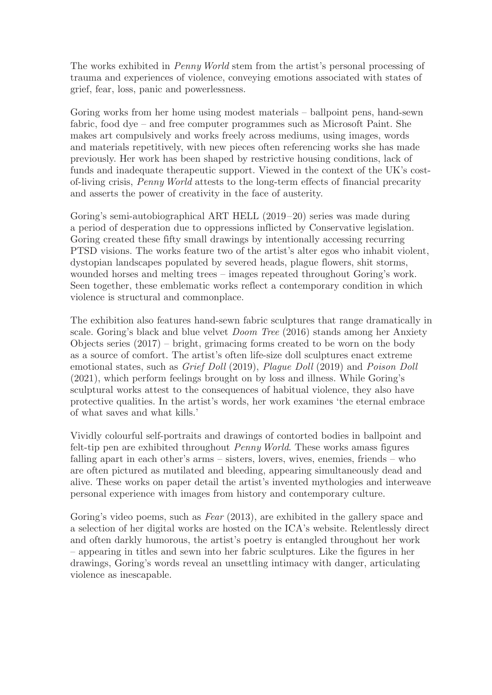The works exhibited in *Penny World* stem from the artist's personal processing of trauma and experiences of violence, conveying emotions associated with states of grief, fear, loss, panic and powerlessness.

Goring works from her home using modest materials – ballpoint pens, hand-sewn fabric, food dye – and free computer programmes such as Microsoft Paint. She makes art compulsively and works freely across mediums, using images, words and materials repetitively, with new pieces often referencing works she has made previously. Her work has been shaped by restrictive housing conditions, lack of funds and inadequate therapeutic support. Viewed in the context of the UK's costof-living crisis, *Penny World* attests to the long-term effects of financial precarity and asserts the power of creativity in the face of austerity.

Goring's semi-autobiographical ART HELL (2019–20) series was made during a period of desperation due to oppressions inflicted by Conservative legislation. Goring created these fifty small drawings by intentionally accessing recurring PTSD visions. The works feature two of the artist's alter egos who inhabit violent, dystopian landscapes populated by severed heads, plague flowers, shit storms, wounded horses and melting trees – images repeated throughout Goring's work. Seen together, these emblematic works reflect a contemporary condition in which violence is structural and commonplace.

The exhibition also features hand-sewn fabric sculptures that range dramatically in scale. Goring's black and blue velvet *Doom Tree* (2016) stands among her Anxiety Objects series (2017) – bright, grimacing forms created to be worn on the body as a source of comfort. The artist's often life-size doll sculptures enact extreme emotional states, such as *Grief Doll* (2019), *Plague Doll* (2019) and *Poison Doll* (2021), which perform feelings brought on by loss and illness. While Goring's sculptural works attest to the consequences of habitual violence, they also have protective qualities. In the artist's words, her work examines 'the eternal embrace of what saves and what kills.'

Vividly colourful self-portraits and drawings of contorted bodies in ballpoint and felt-tip pen are exhibited throughout *Penny World*. These works amass figures falling apart in each other's arms – sisters, lovers, wives, enemies, friends – who are often pictured as mutilated and bleeding, appearing simultaneously dead and alive. These works on paper detail the artist's invented mythologies and interweave personal experience with images from history and contemporary culture.

Goring's video poems, such as *Fear* (2013), are exhibited in the gallery space and a selection of her digital works are hosted on the ICA's website. Relentlessly direct and often darkly humorous, the artist's poetry is entangled throughout her work – appearing in titles and sewn into her fabric sculptures. Like the figures in her drawings, Goring's words reveal an unsettling intimacy with danger, articulating violence as inescapable.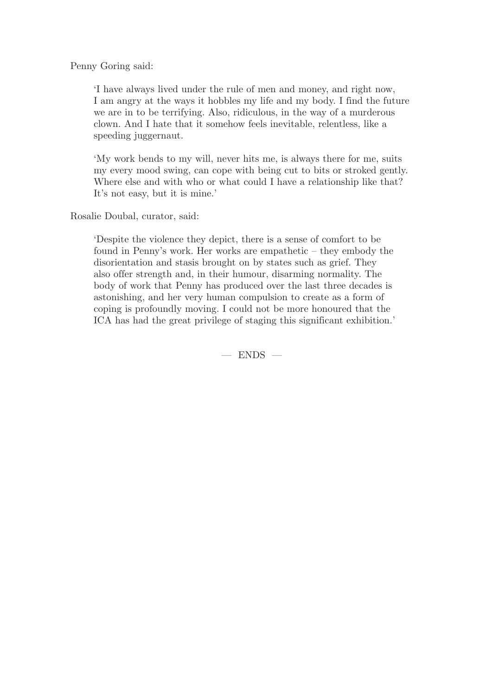Penny Goring said:

'I have always lived under the rule of men and money, and right now, I am angry at the ways it hobbles my life and my body. I find the future we are in to be terrifying. Also, ridiculous, in the way of a murderous clown. And I hate that it somehow feels inevitable, relentless, like a speeding juggernaut.

'My work bends to my will, never hits me, is always there for me, suits my every mood swing, can cope with being cut to bits or stroked gently. Where else and with who or what could I have a relationship like that? It's not easy, but it is mine.'

Rosalie Doubal, curator, said:

'Despite the violence they depict, there is a sense of comfort to be found in Penny's work. Her works are empathetic – they embody the disorientation and stasis brought on by states such as grief. They also offer strength and, in their humour, disarming normality. The body of work that Penny has produced over the last three decades is astonishing, and her very human compulsion to create as a form of coping is profoundly moving. I could not be more honoured that the ICA has had the great privilege of staging this significant exhibition.'

 $-$  ENDS  $-$